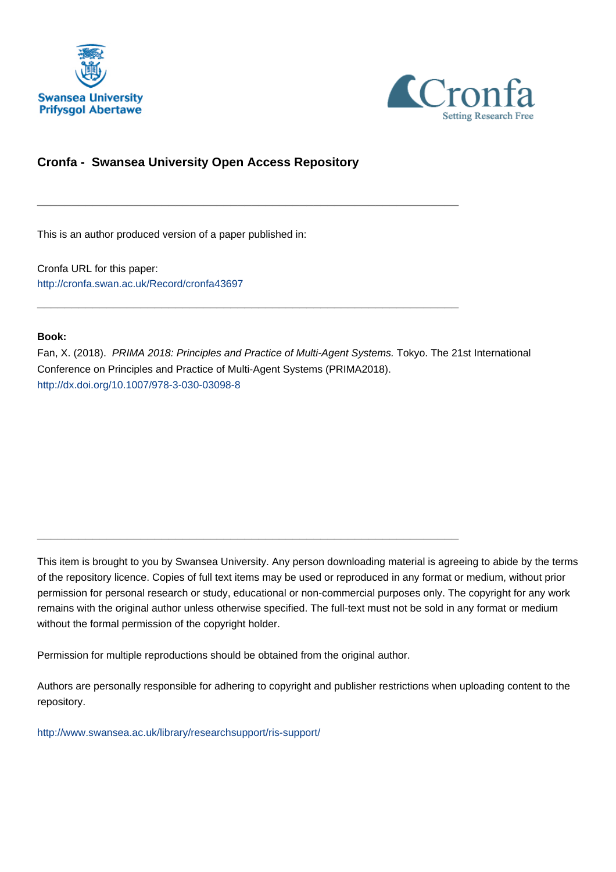



## **Cronfa - Swansea University Open Access Repository**

\_\_\_\_\_\_\_\_\_\_\_\_\_\_\_\_\_\_\_\_\_\_\_\_\_\_\_\_\_\_\_\_\_\_\_\_\_\_\_\_\_\_\_\_\_\_\_\_\_\_\_\_\_\_\_\_\_\_\_\_\_

\_\_\_\_\_\_\_\_\_\_\_\_\_\_\_\_\_\_\_\_\_\_\_\_\_\_\_\_\_\_\_\_\_\_\_\_\_\_\_\_\_\_\_\_\_\_\_\_\_\_\_\_\_\_\_\_\_\_\_\_\_

\_\_\_\_\_\_\_\_\_\_\_\_\_\_\_\_\_\_\_\_\_\_\_\_\_\_\_\_\_\_\_\_\_\_\_\_\_\_\_\_\_\_\_\_\_\_\_\_\_\_\_\_\_\_\_\_\_\_\_\_\_

This is an author produced version of a paper published in:

Cronfa URL for this paper: <http://cronfa.swan.ac.uk/Record/cronfa43697>

## **Book:**

Fan, X. (2018). PRIMA 2018: Principles and Practice of Multi-Agent Systems. Tokyo. The 21st International Conference on Principles and Practice of Multi-Agent Systems (PRIMA2018). <http://dx.doi.org/10.1007/978-3-030-03098-8>

This item is brought to you by Swansea University. Any person downloading material is agreeing to abide by the terms of the repository licence. Copies of full text items may be used or reproduced in any format or medium, without prior permission for personal research or study, educational or non-commercial purposes only. The copyright for any work remains with the original author unless otherwise specified. The full-text must not be sold in any format or medium without the formal permission of the copyright holder.

Permission for multiple reproductions should be obtained from the original author.

Authors are personally responsible for adhering to copyright and publisher restrictions when uploading content to the repository.

[http://www.swansea.ac.uk/library/researchsupport/ris-support/](http://www.swansea.ac.uk/library/researchsupport/ris-support/ )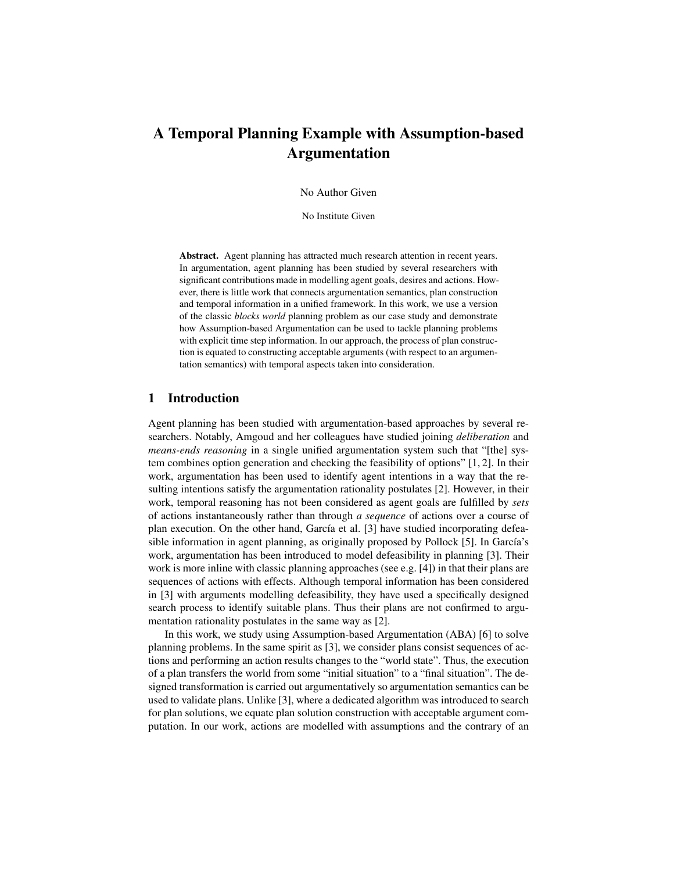# A Temporal Planning Example with Assumption-based Argumentation

No Author Given

No Institute Given

Abstract. Agent planning has attracted much research attention in recent years. In argumentation, agent planning has been studied by several researchers with significant contributions made in modelling agent goals, desires and actions. However, there is little work that connects argumentation semantics, plan construction and temporal information in a unified framework. In this work, we use a version of the classic *blocks world* planning problem as our case study and demonstrate how Assumption-based Argumentation can be used to tackle planning problems with explicit time step information. In our approach, the process of plan construction is equated to constructing acceptable arguments (with respect to an argumentation semantics) with temporal aspects taken into consideration.

## 1 Introduction

Agent planning has been studied with argumentation-based approaches by several researchers. Notably, Amgoud and her colleagues have studied joining *deliberation* and *means-ends reasoning* in a single unified argumentation system such that "[the] system combines option generation and checking the feasibility of options" [1, 2]. In their work, argumentation has been used to identify agent intentions in a way that the resulting intentions satisfy the argumentation rationality postulates [2]. However, in their work, temporal reasoning has not been considered as agent goals are fulfilled by *sets* of actions instantaneously rather than through *a sequence* of actions over a course of plan execution. On the other hand, García et al. [3] have studied incorporating defeasible information in agent planning, as originally proposed by Pollock [5]. In García's work, argumentation has been introduced to model defeasibility in planning [3]. Their work is more inline with classic planning approaches (see e.g. [4]) in that their plans are sequences of actions with effects. Although temporal information has been considered in [3] with arguments modelling defeasibility, they have used a specifically designed search process to identify suitable plans. Thus their plans are not confirmed to argumentation rationality postulates in the same way as [2].

In this work, we study using Assumption-based Argumentation (ABA) [6] to solve planning problems. In the same spirit as [3], we consider plans consist sequences of actions and performing an action results changes to the "world state". Thus, the execution of a plan transfers the world from some "initial situation" to a "final situation". The designed transformation is carried out argumentatively so argumentation semantics can be used to validate plans. Unlike [3], where a dedicated algorithm was introduced to search for plan solutions, we equate plan solution construction with acceptable argument computation. In our work, actions are modelled with assumptions and the contrary of an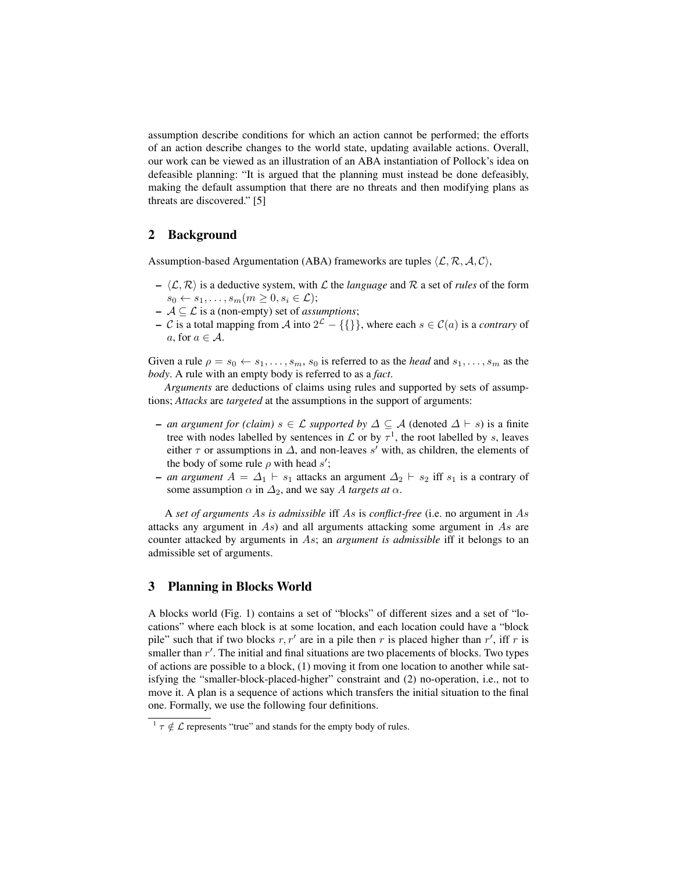assumption describe conditions for which an action cannot be performed; the efforts of an action describe changes to the world state, updating available actions. Overall, our work can be viewed as an illustration of an ABA instantiation of Pollock's idea on defeasible planning: "It is argued that the planning must instead be done defeasibly, making the default assumption that there are no threats and then modifying plans as threats are discovered." [5]

#### 2 Background

Assumption-based Argumentation (ABA) frameworks are tuples  $\langle \mathcal{L}, \mathcal{R}, \mathcal{A}, \mathcal{C} \rangle$ ,

- $\langle \mathcal{L}, \mathcal{R} \rangle$  is a deductive system, with  $\mathcal L$  the *language* and R a set of *rules* of the form  $s_0 \leftarrow s_1, \ldots, s_m (m \geq 0, s_i \in \mathcal{L});$
- A ⊆ L is a (non-empty) set of *assumptions*;
- *C* is a total mapping from *A* into  $2^{\mathcal{L}} {\{\}\}$ , where each *s* ∈ *C*(*a*) is a *contrary* of a, for  $a \in \mathcal{A}$ .

Given a rule  $\rho = s_0 \leftarrow s_1, \ldots, s_m, s_0$  is referred to as the *head* and  $s_1, \ldots, s_m$  as the *body*. A rule with an empty body is referred to as a *fact*.

*Arguments* are deductions of claims using rules and supported by sets of assumptions; *Attacks* are *targeted* at the assumptions in the support of arguments:

- *an argument for (claim)*  $s \in \mathcal{L}$  *supported by*  $\Delta \subseteq \mathcal{A}$  (denoted  $\Delta \vdash s$ ) is a finite tree with nodes labelled by sentences in  $\mathcal L$  or by  $\tau^1$ , the root labelled by s, leaves either  $\tau$  or assumptions in  $\Delta$ , and non-leaves s' with, as children, the elements of the body of some rule  $\rho$  with head  $s'$ ;
- *an argument*  $A = \Delta_1$  ⊢  $s_1$  attacks an argument  $\Delta_2$  ⊢  $s_2$  iff  $s_1$  is a contrary of some assumption  $\alpha$  in  $\Delta_2$ , and we say A *targets at*  $\alpha$ .

A *set of arguments* As *is admissible* iff As is *conflict-free* (i.e. no argument in As attacks any argument in As) and all arguments attacking some argument in As are counter attacked by arguments in As; an *argument is admissible* iff it belongs to an admissible set of arguments.

## 3 Planning in Blocks World

A blocks world (Fig. 1) contains a set of "blocks" of different sizes and a set of "locations" where each block is at some location, and each location could have a "block pile" such that if two blocks  $r, r'$  are in a pile then r is placed higher than r', iff r is smaller than  $r'$ . The initial and final situations are two placements of blocks. Two types of actions are possible to a block, (1) moving it from one location to another while satisfying the "smaller-block-placed-higher" constraint and (2) no-operation, i.e., not to move it. A plan is a sequence of actions which transfers the initial situation to the final one. Formally, we use the following four definitions.

 $\frac{1}{\tau} \notin \mathcal{L}$  represents "true" and stands for the empty body of rules.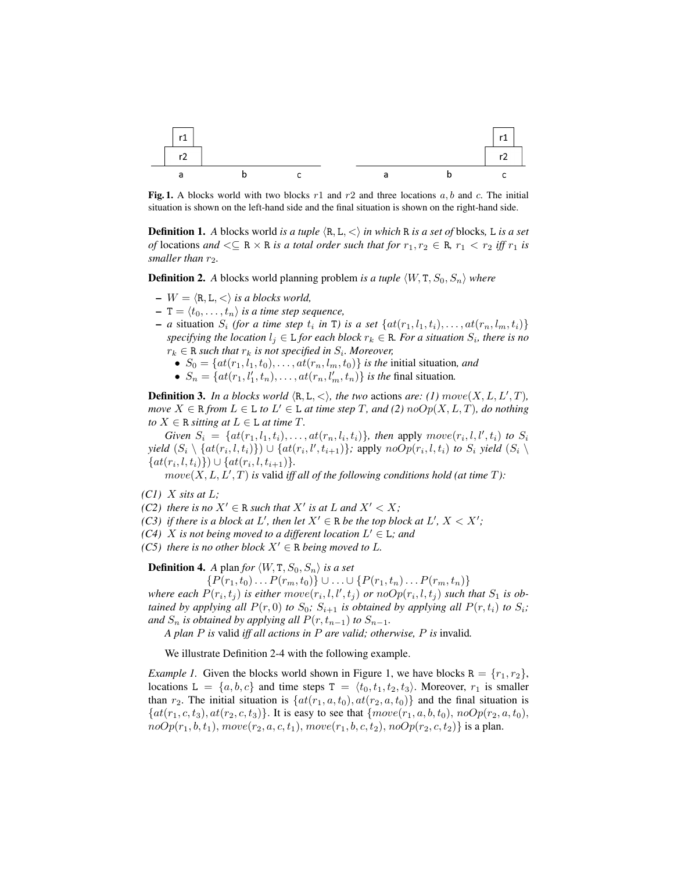

Fig. 1. A blocks world with two blocks  $r1$  and  $r2$  and three locations a, b and c. The initial situation is shown on the left-hand side and the final situation is shown on the right-hand side.

**Definition 1.** A blocks world *is a tuple*  $\langle R, L, \langle \rangle$  *in which* R *is a set of* blocks, L *is a set of* locations and  $\leq \mathbb{R} \times \mathbb{R}$  *is a total order such that for*  $r_1, r_2 \in \mathbb{R}$ ,  $r_1 < r_2$  *iff*  $r_1$  *is smaller than*  $r_2$ *.* 

**Definition 2.** A blocks world planning problem *is a tuple*  $\langle W, T, S_0, S_n \rangle$  *where* 

- $-W = \langle R, L, \langle \rangle$  *is a blocks world,*
- $\mathcal{T} = \langle t_0, \ldots, t_n \rangle$  *is a time step sequence,*
- $-$  *a* situation  $S_i$  (for *a* time step  $t_i$  in T) is a set  $\{at(r_1, l_1, t_i), \ldots, at(r_n, l_m, t_i)\}$  $specifying the location  $l_j \in L$  *for each block*  $r_k \in R$ *. For a situation*  $S_i$ *, there is no*$  $r_k \in \mathbb{R}$  such that  $r_k$  is not specified in  $S_i$ . Moreover,
	- $S_0 = \{at(r_1, l_1, t_0), \ldots, at(r_n, l_m, t_0)\}\$ is the initial situation, and
	- $S_n = \{at(r_1, l'_1, t_n), \ldots, at(r_n, l'_m, t_n)\}\$ is the final situation.

**Definition 3.** In a blocks world  $\langle R, L, \langle \rangle$ , the two actions are: (1) move  $(X, L, L', T)$ ,  $move \ X \in \mathbb{R}$  *from*  $L \in \mathbb{L}$  *to*  $L' \in \mathbb{L}$  *at time step*  $T$ *, and* (2)  $noOp(X, L, T)$ *, do nothing to*  $X \in \mathbb{R}$  *sitting at*  $L \in \mathbb{L}$  *at time*  $T$ *.* 

*Given*  $S_i = \{at(r_1, l_1, t_i), \ldots, at(r_n, l_i, t_i)\}\$ , then apply  $move(r_i, l, l', t_i)$  to  $S_i$  $yield(S_i \setminus \{at(r_i, l, t_i)\}) \cup \{at(r_i, l', t_{i+1})\}$ ; apply  $noOp(r_i, l, t_i)$  to  $S_i$  yield  $(S_i \setminus$  $\{at(r_i, l, t_i)\}\cup \{at(r_i, l, t_{i+1})\}.$ 

 $move(X, L, L', T)$  *is* valid *iff all of the following conditions hold (at time T)*:

- *(C1)* X *sits at* L*;*
- *(C2)* there is no  $X' \in \mathbb{R}$  *such that*  $X'$  *is at* L *and*  $X' < X$ *;*

*(C3) if there is a block at*  $L'$ *, then let*  $X' \in \mathbb{R}$  *be the top block at*  $L'$ *,*  $X < X'$ *;* 

(C4) X is not being moved to a different location  $L' \in L$ ; and

*(C5)* there is no other block  $X' \in \mathbb{R}$  being moved to L.

**Definition 4.** *A* plan *for*  $\langle W, T, S_0, S_n \rangle$  *is a set* 

 $\{P(r_1, t_0) \dots P(r_m, t_0)\} \cup \dots \cup \{P(r_1, t_n) \dots P(r_m, t_n)\}\$ 

where each  $P(r_i, t_j)$  is either  $move(r_i, l, l', t_j)$  or  $noOp(r_i, l, t_j)$  such that  $S_1$  is ob*tained by applying all*  $P(r, 0)$  *to*  $S_0$ *;*  $S_{i+1}$  *is obtained by applying all*  $P(r, t_i)$  *to*  $S_i$ *; and*  $S_n$  *is obtained by applying all*  $P(r, t_{n-1})$  *to*  $S_{n-1}$ *.* 

*A plan* P *is* valid *iff all actions in* P *are valid; otherwise,* P *is* invalid*.*

We illustrate Definition 2-4 with the following example.

*Example 1.* Given the blocks world shown in Figure 1, we have blocks  $R = \{r_1, r_2\}$ , locations L =  $\{a, b, c\}$  and time steps T =  $\langle t_0, t_1, t_2, t_3\rangle$ . Moreover,  $r_1$  is smaller than  $r_2$ . The initial situation is  $\{at(r_1, a, t_0), at(r_2, a, t_0)\}\$  and the final situation is  ${at(r_1, c, t_3), at(r_2, c, t_3)}$ . It is easy to see that  ${move(r_1, a, b, t_0), noOp(r_2, a, t_0)}$ ,  $noOp(r_1, b, t_1), move(r_2, a, c, t_1), move(r_1, b, c, t_2), noOp(r_2, c, t_2)$  is a plan.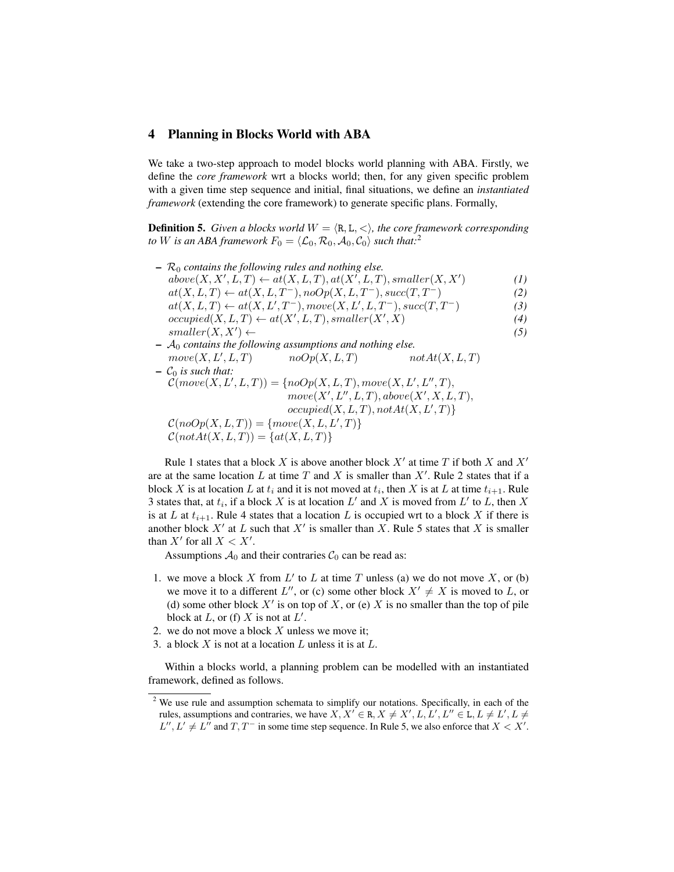#### 4 Planning in Blocks World with ABA

We take a two-step approach to model blocks world planning with ABA. Firstly, we define the *core framework* wrt a blocks world; then, for any given specific problem with a given time step sequence and initial, final situations, we define an *instantiated framework* (extending the core framework) to generate specific plans. Formally,

**Definition 5.** *Given a blocks world*  $W = \langle R, L, \langle \rangle$ *, the core framework corresponding to W is an ABA framework*  $F_0 = \langle \mathcal{L}_0, \mathcal{R}_0, \mathcal{A}_0, \mathcal{C}_0 \rangle$  *such that:*<sup>2</sup>

 $\mathcal{R}_0$  *contains the following rules and nothing else.*  $above(X, X', L, T) \leftarrow at(X, L, T), at(X', L, T), smaller(X, X')$ ) *(1)*  $at(X, L, T) \leftarrow at(X, L, T^-), noOp(X, L, T^-), succ(T, T^-)$  *(2)*  $at(X, L, T) \leftarrow at(X, L', T^-), move(X, L', L, T^-), succ(T, T^-)$  (3)  $occupied(X, L, T) \leftarrow at(X', L, T), smaller(X', X)$  (4)  $smaller(X, X') \leftarrow$  $) \leftarrow$  (5)  $A_0$  *contains the following assumptions and nothing else.*  $move(X, L', L, T)$  $noOp(X, L, T)$   $notAt(X, L, T)$  $C_0$  *is such that:*  $\mathcal{C}(move(X, L', L, T)) = \{noOp(X, L, T), move(X, L', L'', T),\}$ 

$$
C(nocsc(21,2,2,1)))
$$
  
\n
$$
(nccP(X',L',L',L',L'))
$$
  
\n
$$
move(X',L,T), above(X',X,L,T),
$$
  
\n
$$
C(noOp(X,L,T)) = \{move(X,L,L',T)\}
$$

$$
\mathcal{C}(notAt(X,L,T))=\{at(X,L,T)\}
$$

Rule 1 states that a block X is above another block  $X'$  at time T if both X and  $X'$ are at the same location L at time T and X is smaller than  $X'$ . Rule 2 states that if a block X is at location L at  $t_i$  and it is not moved at  $t_i$ , then X is at L at time  $t_{i+1}$ . Rule 3 states that, at  $t_i$ , if a block X is at location  $L'$  and X is moved from  $L'$  to L, then X is at L at  $t_{i+1}$ . Rule 4 states that a location L is occupied wrt to a block X if there is another block  $X'$  at L such that  $X'$  is smaller than X. Rule 5 states that X is smaller than  $X'$  for all  $X < X'$ .

Assumptions  $A_0$  and their contraries  $C_0$  can be read as:

- 1. we move a block X from  $L'$  to L at time T unless (a) we do not move X, or (b) we move it to a different L'', or (c) some other block  $X' \neq X$  is moved to L, or (d) some other block  $X'$  is on top of X, or (e) X is no smaller than the top of pile block at  $L$ , or (f)  $X$  is not at  $L'$ .
- 2. we do not move a block  $X$  unless we move it;
- 3. a block  $X$  is not at a location  $L$  unless it is at  $L$ .

Within a blocks world, a planning problem can be modelled with an instantiated framework, defined as follows.

<sup>&</sup>lt;sup>2</sup> We use rule and assumption schemata to simplify our notations. Specifically, in each of the rules, assumptions and contraries, we have  $X, X' \in \mathbb{R}, X \neq X', L, L', L'' \in \mathbb{L}, L \neq L', L \neq$  $L''$ ,  $L' \neq L''$  and  $T$ ,  $T^-$  in some time step sequence. In Rule 5, we also enforce that  $X < X'$ .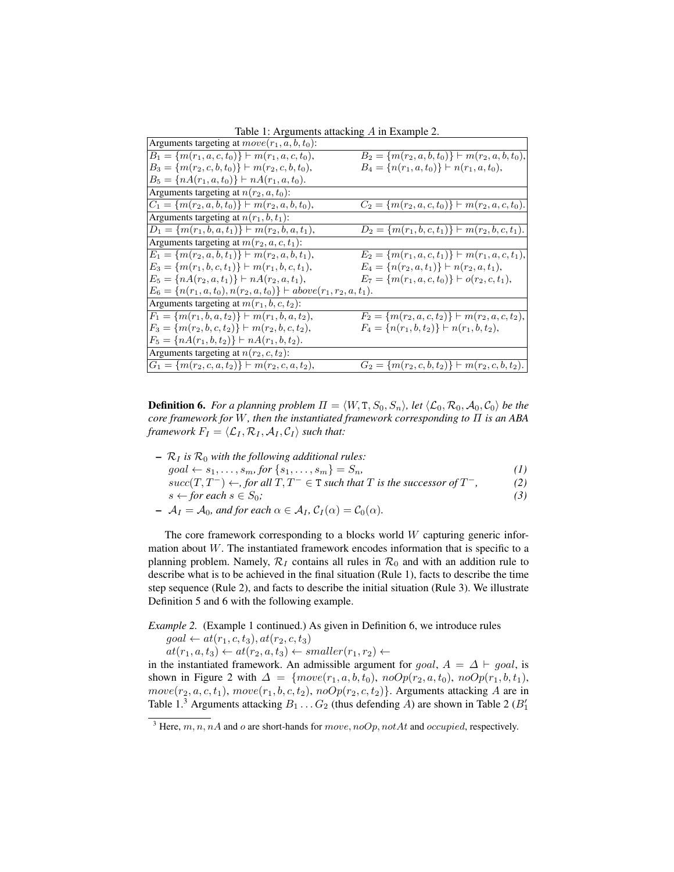Table 1: Arguments attacking A in Example 2.

| Arguments targeting at $move(r_1, a, b, t_0)$ :                           |                                                         |
|---------------------------------------------------------------------------|---------------------------------------------------------|
| $B_1 = \{m(r_1, a, c, t_0)\}\vdash m(r_1, a, c, t_0),$                    | $B_2 = \{m(r_2, a, b, t_0)\}\vdash m(r_2, a, b, t_0),$  |
| $B_3 = \{m(r_2, c, b, t_0)\}\vdash m(r_2, c, b, t_0),$                    | $B_4 = \{n(r_1, a, t_0)\}\vdash n(r_1, a, t_0),$        |
| $B_5 = \{nA(r_1, a, t_0)\}\vdash nA(r_1, a, t_0).$                        |                                                         |
| Arguments targeting at $n(r_2, a, t_0)$ :                                 |                                                         |
| $C_1 = \{m(r_2, a, b, t_0)\}\vdash m(r_2, a, b, t_0),$                    | $C_2 = \{m(r_2, a, c, t_0)\} \vdash m(r_2, a, c, t_0).$ |
| Arguments targeting at $n(r_1, b, t_1)$ :                                 |                                                         |
| $D_1 = \{m(r_1, b, a, t_1)\}\vdash m(r_2, b, a, t_1),$                    | $D_2 = \{m(r_1, b, c, t_1)\}\vdash m(r_2, b, c, t_1).$  |
| Arguments targeting at $m(r_2, a, c, t_1)$ :                              |                                                         |
| $E_1 = \{m(r_2, a, b, t_1)\} \vdash m(r_2, a, b, t_1),$                   | $E_2 = \{m(r_1, a, c, t_1)\} \vdash m(r_1, a, c, t_1),$ |
| $E_3 = \{m(r_1, b, c, t_1)\}\vdash m(r_1, b, c, t_1),$                    | $E_4 = \{n(r_2, a, t_1)\} \vdash n(r_2, a, t_1),$       |
| $E_5 = \{nA(r_2, a, t_1)\}\vdash nA(r_2, a, t_1),$                        | $E_7 = \{m(r_1, a, c, t_0)\}\vdash o(r_2, c, t_1),$     |
| $E_6 = \{n(r_1, a, t_0), n(r_2, a, t_0)\}\vdash above(r_1, r_2, a, t_1).$ |                                                         |
| Arguments targeting at $m(r_1, b, c, t_2)$ :                              |                                                         |
| $F_1 = \{m(r_1, b, a, t_2)\}\vdash m(r_1, b, a, t_2),$                    | $F_2 = \{m(r_2, a, c, t_2)\}\vdash m(r_2, a, c, t_2),$  |
| $F_3 = \{m(r_2, b, c, t_2)\}\vdash m(r_2, b, c, t_2),$                    | $F_4 = \{n(r_1, b, t_2)\}\vdash n(r_1, b, t_2),$        |
| $F_5 = \{nA(r_1, b, t_2)\}\vdash nA(r_1, b, t_2).$                        |                                                         |
| Arguments targeting at $n(r_2, c, t_2)$ :                                 |                                                         |
| $G_1 = \{m(r_2, c, a, t_2)\}\vdash m(r_2, c, a, t_2),$                    | $G_2 = \{m(r_2, c, b, t_2)\}\vdash m(r_2, c, b, t_2).$  |
|                                                                           |                                                         |

**Definition 6.** *For a planning problem*  $\Pi = \langle W, \mathsf{T}, S_0, S_n \rangle$ , let  $\langle \mathcal{L}_0, \mathcal{R}_0, \mathcal{A}_0, \mathcal{C}_0 \rangle$  *be the core framework for* W*, then the instantiated framework corresponding to* Π *is an ABA framework*  $F_I = \langle \mathcal{L}_I, \mathcal{R}_I, \mathcal{A}_I, \mathcal{C}_I \rangle$  *such that:* 

 $\mathcal{R}_I$  *is*  $\mathcal{R}_0$  *with the following additional rules:*  $goal \leftarrow s_1, ..., s_m, for \{s_1, ..., s_m\} = S_n,$  (1)  $succ(T, T^-) \leftarrow$ *, for all*  $T, T^- \in T$  *such that*  $T$  *is the successor of*  $T^-$ *,* <sup>−</sup>*, (2)*  $s \leftarrow$  *for each*  $s \in S_0$ ; (3)

 $\mathcal{A}_I = \mathcal{A}_0$ *, and for each*  $\alpha \in \mathcal{A}_I$ ,  $\mathcal{C}_I(\alpha) = \mathcal{C}_0(\alpha)$ *.* 

The core framework corresponding to a blocks world  $W$  capturing generic information about W. The instantiated framework encodes information that is specific to a planning problem. Namely,  $\mathcal{R}_I$  contains all rules in  $\mathcal{R}_0$  and with an addition rule to describe what is to be achieved in the final situation (Rule 1), facts to describe the time step sequence (Rule 2), and facts to describe the initial situation (Rule 3). We illustrate Definition 5 and 6 with the following example.

*Example 2.* (Example 1 continued.) As given in Definition 6, we introduce rules

 $goal \leftarrow at(r_1, c, t_3), at(r_2, c, t_3)$ 

 $at(r_1, a, t_3) \leftarrow at(r_2, a, t_3) \leftarrow smaller(r_1, r_2) \leftarrow$ 

in the instantiated framework. An admissible argument for goal,  $A = \Delta \vdash goal$ , is shown in Figure 2 with  $\Delta = \{move(r_1, a, b, t_0), \allowbreak noOp(r_2, a, t_0), \allowbreak noOp(r_1, b, t_1),\}$  $move(r_2, a, c, t_1), move(r_1, b, c, t_2), noOp(r_2, c, t_2)\}.$  Arguments attacking A are in Table 1.<sup>3</sup> Arguments attacking  $B_1 \dots G_2$  (thus defending A) are shown in Table 2 ( $B_1'$ )

<sup>&</sup>lt;sup>3</sup> Here, m, n, nA and o are short-hands for move, noOp, notAt and occupied, respectively.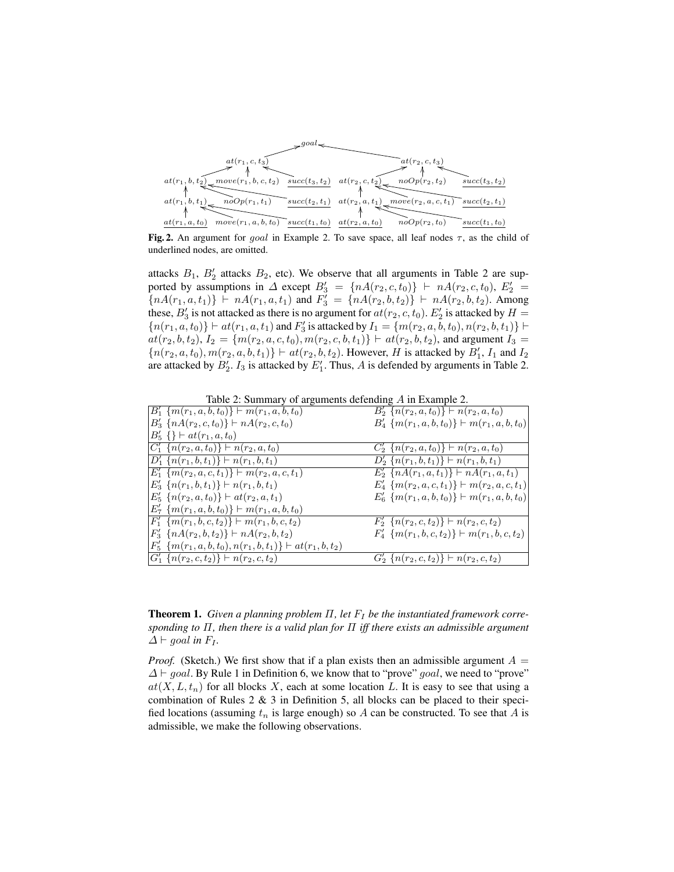

Fig. 2. An argument for goal in Example 2. To save space, all leaf nodes  $\tau$ , as the child of underlined nodes, are omitted.

attacks  $B_1$ ,  $B'_2$  attacks  $B_2$ , etc). We observe that all arguments in Table 2 are supported by assumptions in  $\Delta$  except  $B'_3 = \{nA(r_2, c, t_0)\}\ \vdash nA(r_2, c, t_0), E'_2 =$  ${nA(r_1, a, t_1)}$   $\vdash nA(r_1, a, t_1)$  and  $F'_3 = {nA(r_2, b, t_2)}$   $\vdash nA(r_2, b, t_2)$ . Among these,  $B_3'$  is not attacked as there is no argument for  $at(r_2, c, t_0)$ .  $E_2'$  is attacked by  $H =$  $\{n(r_1, a, t_0)\}\vdash at(r_1, a, t_1)$  and  $F'_3$  is attacked by  $I_1 = \{m(r_2, a, b, t_0), n(r_2, b, t_1)\}\vdash$  $at(r_2, b, t_2), I_2 = \{m(r_2, a, c, t_0), m(r_2, c, b, t_1)\} \vdash at(r_2, b, t_2),$  and argument  $I_3 =$  ${n(r_2, a, t_0), m(r_2, a, b, t_1)}$   $\vdash$   $at(r_2, b, t_2)$ . However, H is attacked by  $B'_1$ ,  $I_1$  and  $I_2$ are attacked by  $B'_2$ .  $I_3$  is attacked by  $E'_1$ . Thus, A is defended by arguments in Table 2.

Table 2: Summary of arguments defending A in Example 2.

| $B'_1 \ \{m(r_1, a, b, t_0)\}\vdash m(r_1, a, b, t_0)$                           | $B'_2$ { $n(r_2, a, t_0)$ } $\vdash n(r_2, a, t_0)$                                                 |
|----------------------------------------------------------------------------------|-----------------------------------------------------------------------------------------------------|
| $B'_3$ { $nA(r_2, c, t_0)$ } $\vdash nA(r_2, c, t_0)$                            | $B'_4 \{m(r_1, a, b, t_0)\}\vdash m(r_1, a, b, t_0)$                                                |
| $B'_5 \{\}\vdash at(r_1, a, t_0)$                                                |                                                                                                     |
| $ C'_1 \{n(r_2, a, t_0)\} \vdash n(r_2, a, t_0)$                                 | $C'_2$ { $n(r_2, a, t_0)$ } $\vdash n(r_2, a, t_0)$                                                 |
| $\{D'_1 \} \{n(r_1, b, t_1)\}\vdash n(r_1, b, t_1)$                              | $D'_2$ { $n(r_1, b, t_1)$ } $\vdash n(r_1, b, t_1)$                                                 |
| $E'_1$ { $m(r_2, a, c, t_1)$ } $\vdash m(r_2, a, c, t_1)$                        | $E'_2$ {n A(r <sub>1</sub> , a, t <sub>1</sub> )} $\vdash n$ A(r <sub>1</sub> , a, t <sub>1</sub> ) |
| $E'_3$ { $n(r_1, b, t_1)$ } $\vdash n(r_1, b, t_1)$                              | $E'_4$ { $m(r_2, a, c, t_1)$ } $\vdash m(r_2, a, c, t_1)$                                           |
| $E'_5$ { $n(r_2, a, t_0)$ } $\vdash$ $at(r_2, a, t_1)$                           | $E'_6 \{m(r_1, a, b, t_0)\} \vdash m(r_1, a, b, t_0)$                                               |
| $E'_7$ { $m(r_1, a, b, t_0)$ } $\vdash m(r_1, a, b, t_0)$                        |                                                                                                     |
| $ F'_1 \{m(r_1, b, c, t_2)\}\vdash m(r_1, b, c, t_2)$                            | $F'_2$ { $n(r_2, c, t_2)$ } $\vdash n(r_2, c, t_2)$                                                 |
| $F'_3$ {n A(r <sub>2</sub> , b, t <sub>2</sub> )} $\vdash nA(r_2, b, t_2)$       | $F'_4$ { $m(r_1, b, c, t_2)$ } $\vdash m(r_1, b, c, t_2)$                                           |
| $\left F_5'\right  \{m(r_1, a, b, t_0), n(r_1, b, t_1)\} \vdash at(r_1, b, t_2)$ |                                                                                                     |
| $ G'_1 \{n(r_2, c, t_2)\} \vdash n(r_2, c, t_2)$                                 | $G'_2$ { $n(r_2, c, t_2)$ } $\vdash n(r_2, c, t_2)$                                                 |
|                                                                                  |                                                                                                     |

**Theorem 1.** Given a planning problem  $\Pi$ , let  $F_I$  be the instantiated framework corre*sponding to* Π*, then there is a valid plan for* Π *iff there exists an admissible argument*  $\Delta$   $\vdash$  *goal in*  $F_I$ .

*Proof.* (Sketch.) We first show that if a plan exists then an admissible argument  $A =$  $\Delta \vdash goal$ . By Rule 1 in Definition 6, we know that to "prove" goal, we need to "prove"  $at(X, L, t_n)$  for all blocks X, each at some location L. It is easy to see that using a combination of Rules  $2 \& 3$  in Definition 5, all blocks can be placed to their specified locations (assuming  $t_n$  is large enough) so A can be constructed. To see that A is admissible, we make the following observations.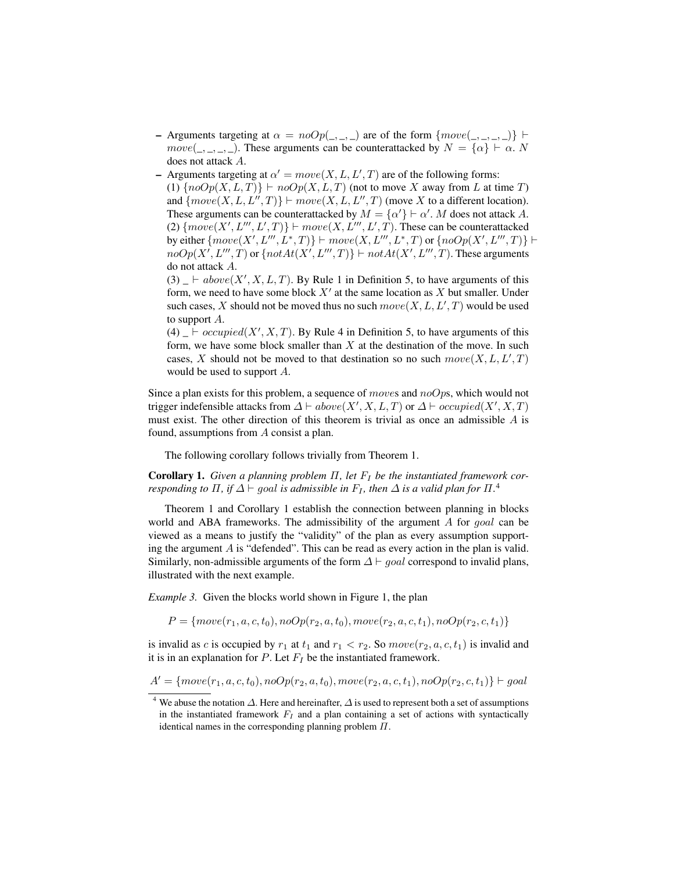- Arguments targeting at  $\alpha = noOp(\_,\_,\_)$  are of the form  $\{move(\_,\_,\_)\}$  $move(\_,\_,\_,\_)$ . These arguments can be counterattacked by  $N = {\alpha} \vdash \alpha$ . N does not attack A.
- Arguments targeting at  $\alpha' = move(X, L, L', T)$  are of the following forms: (1)  $\{noOp(X, L, T)\}\vdash noOp(X, L, T)$  (not to move X away from L at time T) and  $\{move(X, L, L'', T)\} \vdash move(X, L, L'', T)$  (move X to a different location). These arguments can be counterattacked by  $M = \{\alpha'\} \vdash \alpha'. M$  does not attack A. (2)  ${move (X', L''', L', T)} \vdash move(X, L''', L', T)}$ . These can be counterattacked by either  $\{move(X', L'', L^*, T)\} \vdash move(X, L'', L^*, T)$  or  $\{noOp(X', L''', T)\}$  $noOp(X', L''', T)$  or  $\{notAt(X', L''', T)\}$   $\vdash notAt(X', L''', T)$ . These arguments do not attack A.

 $(3)$   $\vdash above(X', X, L, T)$ . By Rule 1 in Definition 5, to have arguments of this form, we need to have some block  $X'$  at the same location as  $X$  but smaller. Under such cases, X should not be moved thus no such  $move(X, L, L', T)$  would be used to support A.

(4)  $\perp$  b *occupied*(*X'*, *X*, *T*). By Rule 4 in Definition 5, to have arguments of this form, we have some block smaller than  $X$  at the destination of the move. In such cases, X should not be moved to that destination so no such  $move(X, L, L', T)$ would be used to support A.

Since a plan exists for this problem, a sequence of *moves* and  $noOps$ , which would not trigger indefensible attacks from  $\Delta \vdash above(X', X, L, T)$  or  $\Delta \vdash occupied(X', X, T)$ must exist. The other direction of this theorem is trivial as once an admissible  $\vec{A}$  is found, assumptions from A consist a plan.

The following corollary follows trivially from Theorem 1.

**Corollary 1.** *Given a planning problem*  $\Pi$ *, let*  $F_I$  *be the instantiated framework corresponding to*  $\Pi$ *, if*  $\varDelta \vdash goal$  *is admissible in*  $F_I$ *, then*  $\varDelta$  *is a valid plan for*  $\Pi$ .<sup>4</sup>

Theorem 1 and Corollary 1 establish the connection between planning in blocks world and ABA frameworks. The admissibility of the argument  $A$  for goal can be viewed as a means to justify the "validity" of the plan as every assumption supporting the argument  $\vec{A}$  is "defended". This can be read as every action in the plan is valid. Similarly, non-admissible arguments of the form  $\Delta \vdash goal$  correspond to invalid plans, illustrated with the next example.

*Example 3.* Given the blocks world shown in Figure 1, the plan

 $P = \{move(r_1, a, c, t_0), noOp(r_2, a, t_0), move(r_2, a, c, t_1), noOp(r_2, c, t_1)\}$ 

is invalid as c is occupied by  $r_1$  at  $t_1$  and  $r_1 < r_2$ . So  $move(r_2, a, c, t_1)$  is invalid and it is in an explanation for  $P$ . Let  $F_I$  be the instantiated framework.

 $A' = \{move(r_1, a, c, t_0), noOp(r_2, a, t_0), move(r_2, a, c, t_1), noOp(r_2, c, t_1)\} \vdash goal$ 

<sup>&</sup>lt;sup>4</sup> We abuse the notation  $\Delta$ . Here and hereinafter,  $\Delta$  is used to represent both a set of assumptions in the instantiated framework  $F_I$  and a plan containing a set of actions with syntactically identical names in the corresponding planning problem  $\Pi$ .